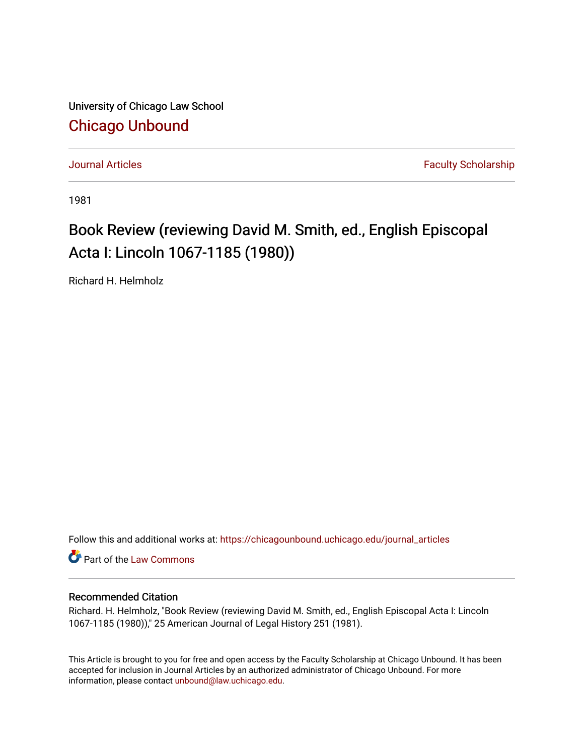University of Chicago Law School [Chicago Unbound](https://chicagounbound.uchicago.edu/)

[Journal Articles](https://chicagounbound.uchicago.edu/journal_articles) **Faculty Scholarship Journal Articles** 

1981

## Book Review (reviewing David M. Smith, ed., English Episcopal Acta I: Lincoln 1067-1185 (1980))

Richard H. Helmholz

Follow this and additional works at: [https://chicagounbound.uchicago.edu/journal\\_articles](https://chicagounbound.uchicago.edu/journal_articles?utm_source=chicagounbound.uchicago.edu%2Fjournal_articles%2F3011&utm_medium=PDF&utm_campaign=PDFCoverPages) 

Part of the [Law Commons](http://network.bepress.com/hgg/discipline/578?utm_source=chicagounbound.uchicago.edu%2Fjournal_articles%2F3011&utm_medium=PDF&utm_campaign=PDFCoverPages)

## Recommended Citation

Richard. H. Helmholz, "Book Review (reviewing David M. Smith, ed., English Episcopal Acta I: Lincoln 1067-1185 (1980))," 25 American Journal of Legal History 251 (1981).

This Article is brought to you for free and open access by the Faculty Scholarship at Chicago Unbound. It has been accepted for inclusion in Journal Articles by an authorized administrator of Chicago Unbound. For more information, please contact [unbound@law.uchicago.edu](mailto:unbound@law.uchicago.edu).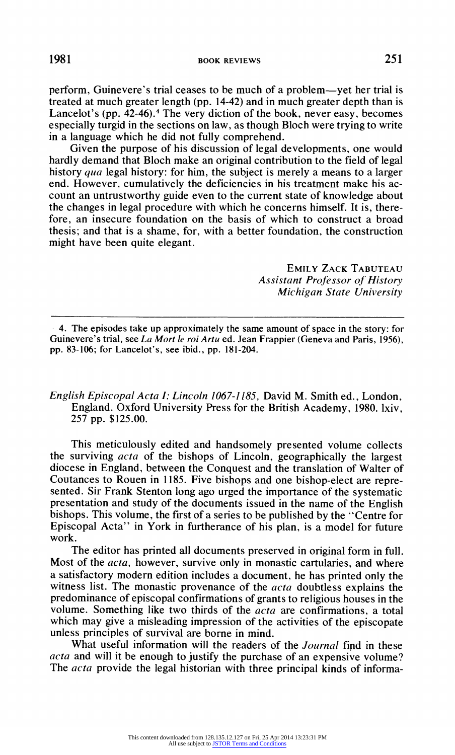**perform, Guinevere's trial ceases to be much of a problem-yet her trial is treated at much greater length (pp. 14-42) and in much greater depth than is**  Lancelot's (pp. 42-46).<sup>4</sup> The very diction of the book, never easy, becomes **especially turgid in the sections on law, as though Bloch were trying to write in a language which he did not fully comprehend.** 

**Given the purpose of his discussion of legal developments, one would hardly demand that Bloch make an original contribution to the field of legal history qua legal history: for him, the subject is merely a means to a larger end. However, cumulatively the deficiencies in his treatment make his account an untrustworthy guide even to the current state of knowledge about the changes in legal procedure with which he concerns himself. It is, therefore, an insecure foundation on the basis of which to construct a broad thesis; and that is a shame, for, with a better foundation, the construction might have been quite elegant.** 

> **EMILY ZACK TABUTEAU Assistant Professor of History Michigan State University**

**<sup>1</sup>4. The episodes take up approximately the same amount of space in the story: for Guinevere's trial, see La Mort le roi Artu ed. Jean Frappier (Geneva and Paris, 1956), pp. 83-106; for Lancelot's, see ibid., pp. 181-204.** 

**English Episcopal Acta I: Lincoln 1067-1185, David M. Smith ed., London, England. Oxford University Press for the British Academy, 1980. lxiv, 257 pp. \$125.00.** 

**This meticulously edited and handsomely presented volume collects the surviving acta of the bishops of Lincoln, geographically the largest diocese in England, between the Conquest and the translation of Walter of Coutances to Rouen in 1185. Five bishops and one bishop-elect are represented. Sir Frank Stenton long ago urged the importance of the systematic presentation and study of the documents issued in the name of the English bishops. This volume, the first of a series to be published by the "Centre for Episcopal Acta" in York in furtherance of his plan, is a model for future work.** 

**The editor has printed all documents preserved in original form in full. Most of the acta, however, survive only in monastic cartularies, and where a satisfactory modern edition includes a document, he has printed only the witness list. The monastic provenance of the acta doubtless explains the predominance of episcopal confirmations of grants to religious houses in the volume. Something like two thirds of the acta are confirmations, a total which may give a misleading impression of the activities of the episcopate unless principles of survival are borne in mind.** 

**What useful information will the readers of the Journal find in these acta and will it be enough to justify the purchase of an expensive volume? The acta provide the legal historian with three principal kinds of informa-**